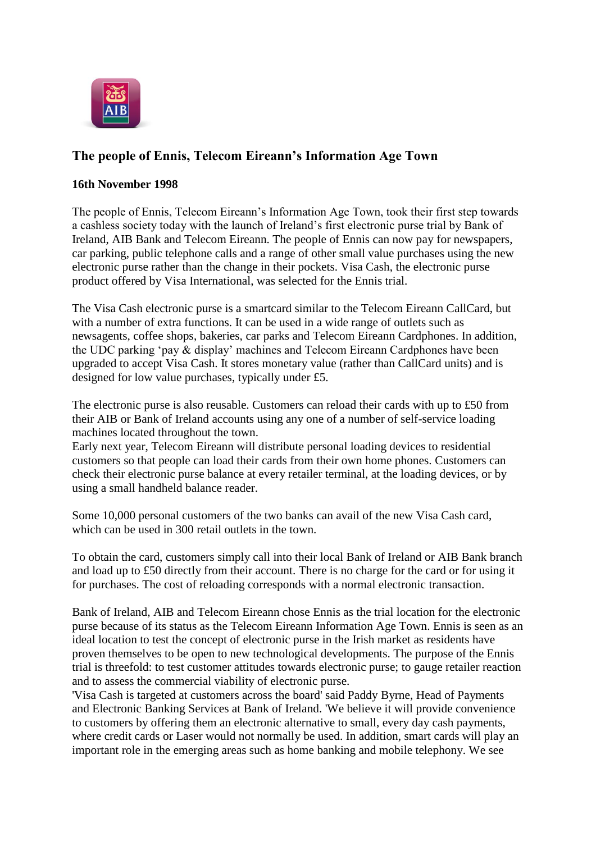

## **The people of Ennis, Telecom Eireann's Information Age Town**

## **16th November 1998**

The people of Ennis, Telecom Eireann's Information Age Town, took their first step towards a cashless society today with the launch of Ireland's first electronic purse trial by Bank of Ireland, AIB Bank and Telecom Eireann. The people of Ennis can now pay for newspapers, car parking, public telephone calls and a range of other small value purchases using the new electronic purse rather than the change in their pockets. Visa Cash, the electronic purse product offered by Visa International, was selected for the Ennis trial.

The Visa Cash electronic purse is a smartcard similar to the Telecom Eireann CallCard, but with a number of extra functions. It can be used in a wide range of outlets such as newsagents, coffee shops, bakeries, car parks and Telecom Eireann Cardphones. In addition, the UDC parking 'pay & display' machines and Telecom Eireann Cardphones have been upgraded to accept Visa Cash. It stores monetary value (rather than CallCard units) and is designed for low value purchases, typically under £5.

The electronic purse is also reusable. Customers can reload their cards with up to £50 from their AIB or Bank of Ireland accounts using any one of a number of self-service loading machines located throughout the town.

Early next year, Telecom Eireann will distribute personal loading devices to residential customers so that people can load their cards from their own home phones. Customers can check their electronic purse balance at every retailer terminal, at the loading devices, or by using a small handheld balance reader.

Some 10,000 personal customers of the two banks can avail of the new Visa Cash card, which can be used in 300 retail outlets in the town.

To obtain the card, customers simply call into their local Bank of Ireland or AIB Bank branch and load up to £50 directly from their account. There is no charge for the card or for using it for purchases. The cost of reloading corresponds with a normal electronic transaction.

Bank of Ireland, AIB and Telecom Eireann chose Ennis as the trial location for the electronic purse because of its status as the Telecom Eireann Information Age Town. Ennis is seen as an ideal location to test the concept of electronic purse in the Irish market as residents have proven themselves to be open to new technological developments. The purpose of the Ennis trial is threefold: to test customer attitudes towards electronic purse; to gauge retailer reaction and to assess the commercial viability of electronic purse.

'Visa Cash is targeted at customers across the board' said Paddy Byrne, Head of Payments and Electronic Banking Services at Bank of Ireland. 'We believe it will provide convenience to customers by offering them an electronic alternative to small, every day cash payments, where credit cards or Laser would not normally be used. In addition, smart cards will play an important role in the emerging areas such as home banking and mobile telephony. We see